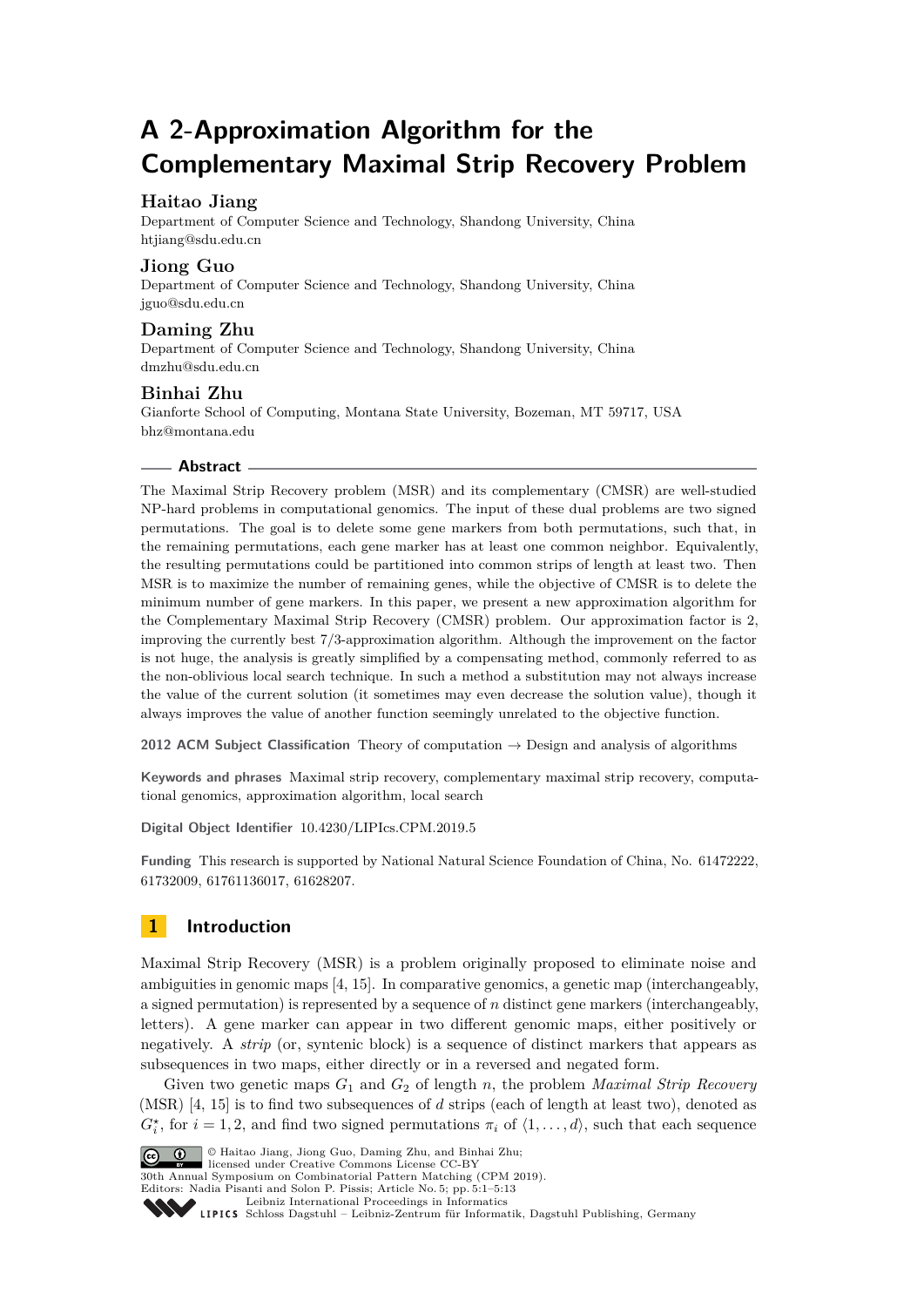# **A 2-Approximation Algorithm for the Complementary Maximal Strip Recovery Problem**

# **Haitao Jiang**

Department of Computer Science and Technology, Shandong University, China [htjiang@sdu.edu.cn](mailto:htjiang@sdu.edu.cn)

## **Jiong Guo**

Department of Computer Science and Technology, Shandong University, China [jguo@sdu.edu.cn](mailto:jguo@sdu.edu.cn)

# **Daming Zhu**

Department of Computer Science and Technology, Shandong University, China [dmzhu@sdu.edu.cn](mailto:dmzhu@sdu.edu.cn)

## **Binhai Zhu**

Gianforte School of Computing, Montana State University, Bozeman, MT 59717, USA [bhz@montana.edu](mailto:bhz@montana.edu)

## **Abstract**

The Maximal Strip Recovery problem (MSR) and its complementary (CMSR) are well-studied NP-hard problems in computational genomics. The input of these dual problems are two signed permutations. The goal is to delete some gene markers from both permutations, such that, in the remaining permutations, each gene marker has at least one common neighbor. Equivalently, the resulting permutations could be partitioned into common strips of length at least two. Then MSR is to maximize the number of remaining genes, while the objective of CMSR is to delete the minimum number of gene markers. In this paper, we present a new approximation algorithm for the Complementary Maximal Strip Recovery (CMSR) problem. Our approximation factor is 2, improving the currently best 7/3-approximation algorithm. Although the improvement on the factor is not huge, the analysis is greatly simplified by a compensating method, commonly referred to as the non-oblivious local search technique. In such a method a substitution may not always increase the value of the current solution (it sometimes may even decrease the solution value), though it always improves the value of another function seemingly unrelated to the objective function.

**2012 ACM Subject Classification** Theory of computation → Design and analysis of algorithms

**Keywords and phrases** Maximal strip recovery, complementary maximal strip recovery, computational genomics, approximation algorithm, local search

**Digital Object Identifier** [10.4230/LIPIcs.CPM.2019.5](https://doi.org/10.4230/LIPIcs.CPM.2019.5)

**Funding** This research is supported by National Natural Science Foundation of China, No. 61472222, 61732009, 61761136017, 61628207.

# **1 Introduction**

Maximal Strip Recovery (MSR) is a problem originally proposed to eliminate noise and ambiguities in genomic maps [\[4,](#page-11-0) [15\]](#page-12-0). In comparative genomics, a genetic map (interchangeably, a signed permutation) is represented by a sequence of *n* distinct gene markers (interchangeably, letters). A gene marker can appear in two different genomic maps, either positively or negatively. A *strip* (or, syntenic block) is a sequence of distinct markers that appears as subsequences in two maps, either directly or in a reversed and negated form.

Given two genetic maps *G*<sup>1</sup> and *G*<sup>2</sup> of length *n*, the problem *Maximal Strip Recovery* (MSR) [\[4,](#page-11-0) [15\]](#page-12-0) is to find two subsequences of *d* strips (each of length at least two), denoted as  $G_i^*$ , for  $i = 1, 2$ , and find two signed permutations  $\pi_i$  of  $\langle 1, \ldots, d \rangle$ , such that each sequence



© Haitao Jiang, Jiong Guo, Daming Zhu, and Binhai Zhu; licensed under Creative Commons License CC-BY

30th Annual Symposium on Combinatorial Pattern Matching (CPM 2019).

Editors: Nadia Pisanti and Solon P. Pissis; Article No. 5; pp. 5:1–5[:13](#page-12-1)

[Leibniz International Proceedings in Informatics](https://www.dagstuhl.de/lipics/)

[Schloss Dagstuhl – Leibniz-Zentrum für Informatik, Dagstuhl Publishing, Germany](https://www.dagstuhl.de)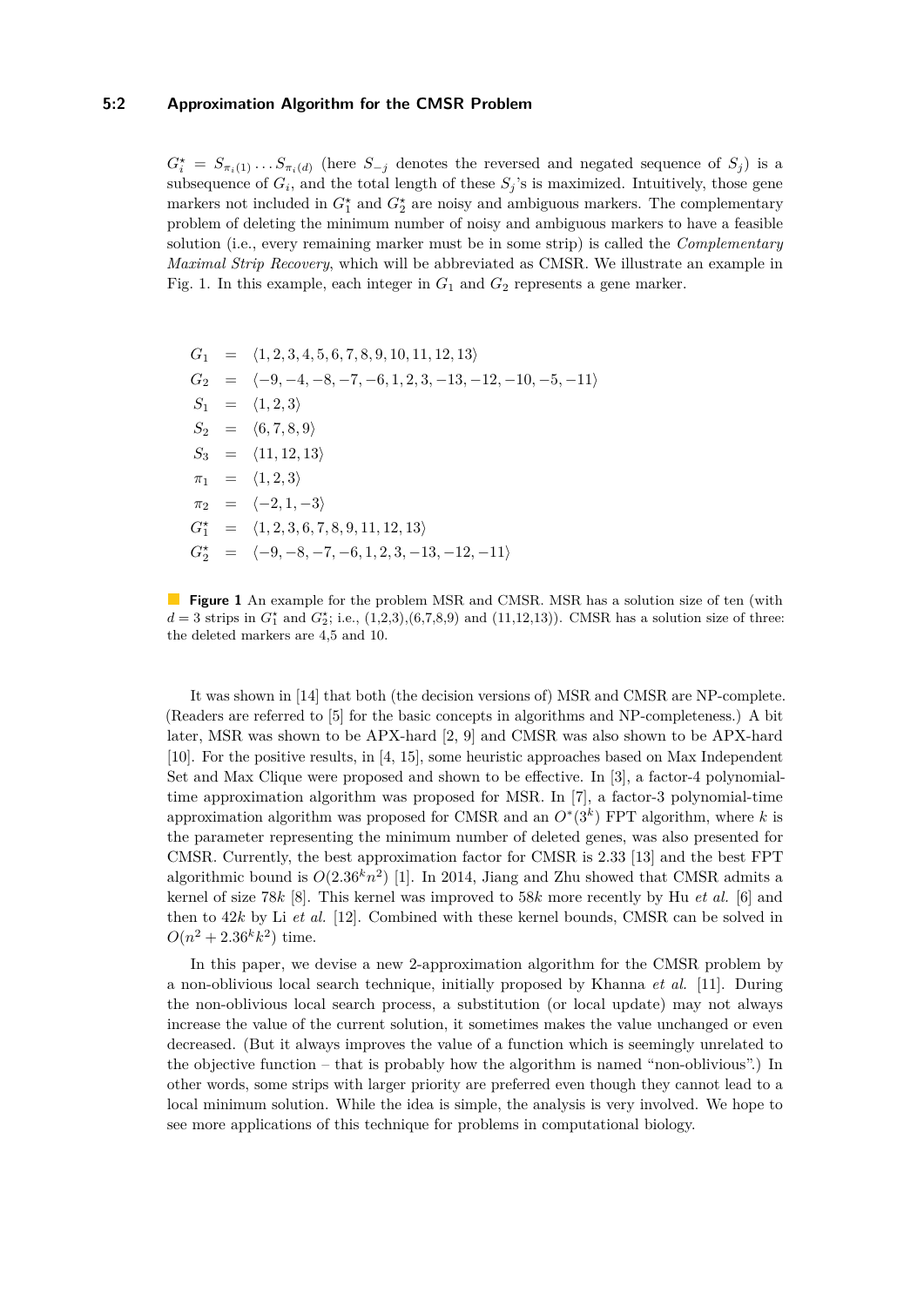#### **5:2 Approximation Algorithm for the CMSR Problem**

 $G_i^* = S_{\pi_i(1)} \dots S_{\pi_i(d)}$  (here  $S_{-j}$  denotes the reversed and negated sequence of  $S_j$ ) is a subsequence of  $G_i$ , and the total length of these  $S_j$ 's is maximized. Intuitively, those gene markers not included in  $G_1^*$  and  $G_2^*$  are noisy and ambiguous markers. The complementary problem of deleting the minimum number of noisy and ambiguous markers to have a feasible solution (i.e., every remaining marker must be in some strip) is called the *Complementary Maximal Strip Recovery*, which will be abbreviated as CMSR. We illustrate an example in Fig. [1.](#page-1-0) In this example, each integer in  $G_1$  and  $G_2$  represents a gene marker.

<span id="page-1-0"></span> $G_1 = \langle 1, 2, 3, 4, 5, 6, 7, 8, 9, 10, 11, 12, 13 \rangle$  $G_2 = \langle -9, -4, -8, -7, -6, 1, 2, 3, -13, -12, -10, -5, -11 \rangle$  $S_1 = \langle 1, 2, 3 \rangle$  $S_2 = \langle 6, 7, 8, 9 \rangle$  $S_3 = \langle 11, 12, 13 \rangle$  $\pi_1$  =  $\langle 1, 2, 3 \rangle$  $\pi_2$  =  $\langle -2, 1, -3 \rangle$  $G_1^* = \langle 1, 2, 3, 6, 7, 8, 9, 11, 12, 13 \rangle$  $G_2^* = \langle -9, -8, -7, -6, 1, 2, 3, -13, -12, -11 \rangle$ 

It was shown in [\[14\]](#page-12-2) that both (the decision versions of) MSR and CMSR are NP-complete. (Readers are referred to [\[5\]](#page-11-1) for the basic concepts in algorithms and NP-completeness.) A bit later, MSR was shown to be APX-hard [\[2,](#page-11-2) [9\]](#page-12-3) and CMSR was also shown to be APX-hard [\[10\]](#page-12-4). For the positive results, in [\[4,](#page-11-0) [15\]](#page-12-0), some heuristic approaches based on Max Independent Set and Max Clique were proposed and shown to be effective. In [\[3\]](#page-11-3), a factor-4 polynomialtime approximation algorithm was proposed for MSR. In [\[7\]](#page-12-5), a factor-3 polynomial-time approximation algorithm was proposed for CMSR and an  $O^*(3^k)$  FPT algorithm, where *k* is the parameter representing the minimum number of deleted genes, was also presented for CMSR. Currently, the best approximation factor for CMSR is 2.33 [\[13\]](#page-12-6) and the best FPT algorithmic bound is  $O(2.36<sup>k</sup>n<sup>2</sup>)$  [\[1\]](#page-11-4). In 2014, Jiang and Zhu showed that CMSR admits a kernel of size 78*k* [\[8\]](#page-12-7). This kernel was improved to 58*k* more recently by Hu *et al.* [\[6\]](#page-12-8) and then to 42*k* by Li *et al.* [\[12\]](#page-12-9). Combined with these kernel bounds, CMSR can be solved in  $O(n^2 + 2.36^k k^2)$  time.

In this paper, we devise a new 2-approximation algorithm for the CMSR problem by a non-oblivious local search technique, initially proposed by Khanna *et al.* [\[11\]](#page-12-10). During the non-oblivious local search process, a substitution (or local update) may not always increase the value of the current solution, it sometimes makes the value unchanged or even decreased. (But it always improves the value of a function which is seemingly unrelated to the objective function – that is probably how the algorithm is named "non-oblivious".) In other words, some strips with larger priority are preferred even though they cannot lead to a local minimum solution. While the idea is simple, the analysis is very involved. We hope to see more applications of this technique for problems in computational biology.

**Figure 1** An example for the problem MSR and CMSR. MSR has a solution size of ten (with  $d = 3$  strips in  $G_1^*$  and  $G_2^*$ ; i.e.,  $(1,2,3), (6,7,8,9)$  and  $(11,12,13)$ ). CMSR has a solution size of three: the deleted markers are 4,5 and 10.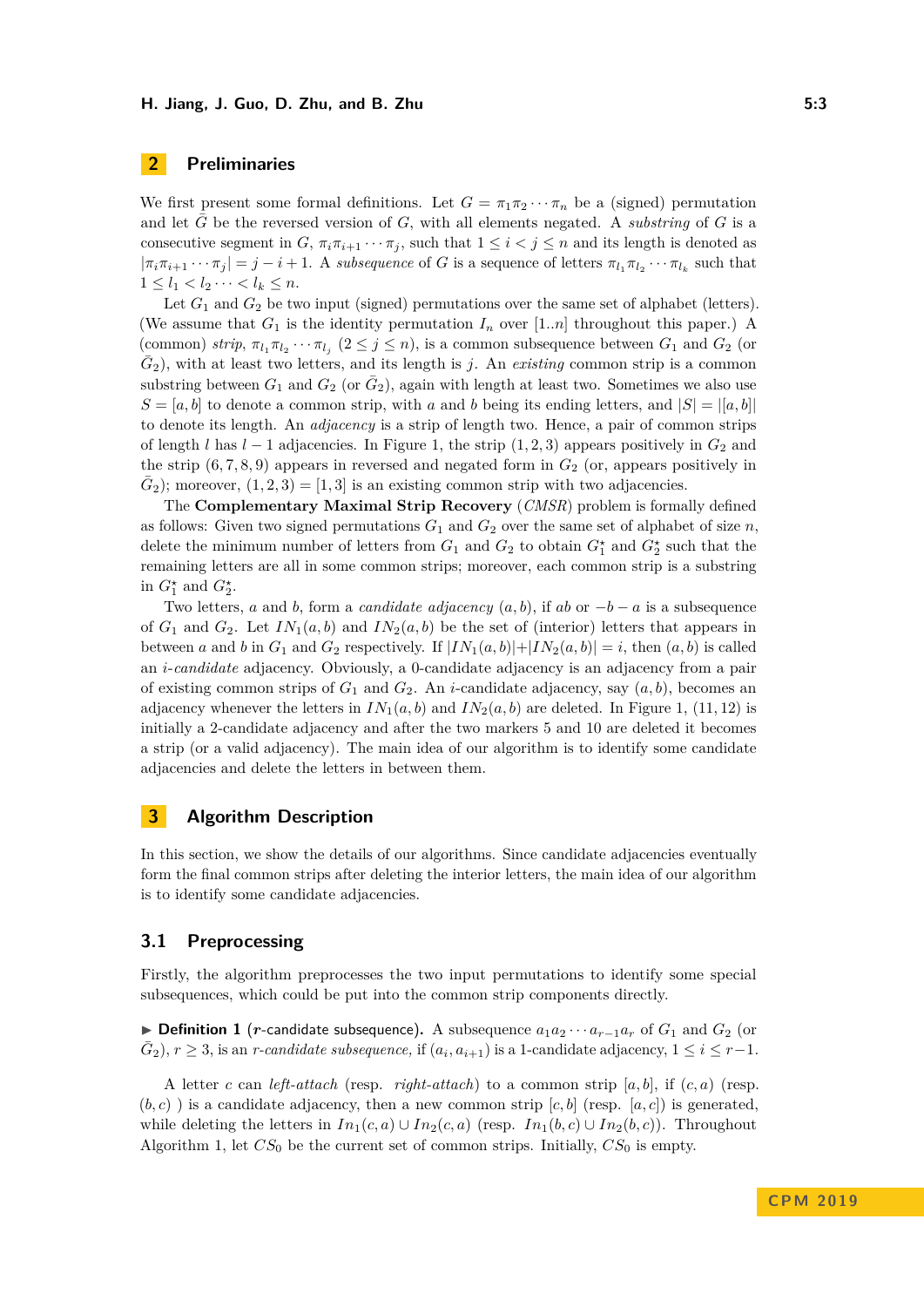# **2 Preliminaries**

We first present some formal definitions. Let  $G = \pi_1 \pi_2 \cdots \pi_n$  be a (signed) permutation and let  $\tilde{G}$  be the reversed version of  $G$ , with all elements negated. A *substring* of  $G$  is a consecutive segment in *G*,  $\pi_i \pi_{i+1} \cdots \pi_j$ , such that  $1 \leq i < j \leq n$  and its length is denoted as  $|\pi_i \pi_{i+1} \cdots \pi_j| = j - i + 1$ . A *subsequence* of *G* is a sequence of letters  $\pi_{l_1} \pi_{l_2} \cdots \pi_{l_k}$  such that  $1 \leq l_1 < l_2 \cdots < l_k \leq n.$ 

Let  $G_1$  and  $G_2$  be two input (signed) permutations over the same set of alphabet (letters). (We assume that  $G_1$  is the identity permutation  $I_n$  over  $[1..n]$  throughout this paper.) A (common) *strip*,  $\pi_{l_1} \pi_{l_2} \cdots \pi_{l_j}$  ( $2 \leq j \leq n$ ), is a common subsequence between  $G_1$  and  $G_2$  (or  $\bar{G}_2$ ), with at least two letters, and its length is *j*. An *existing* common strip is a common substring between  $G_1$  and  $G_2$  (or  $\overline{G}_2$ ), again with length at least two. Sometimes we also use  $S = [a, b]$  to denote a common strip, with *a* and *b* being its ending letters, and  $|S| = |[a, b]|$ to denote its length. An *adjacency* is a strip of length two. Hence, a pair of common strips of length *l* has  $l - 1$  adjacencies. In Figure [1,](#page-1-0) the strip  $(1, 2, 3)$  appears positively in  $G_2$  and the strip  $(6, 7, 8, 9)$  appears in reversed and negated form in  $G_2$  (or, appears positively in  $\bar{G}_2$ ); moreover,  $(1, 2, 3) = [1, 3]$  is an existing common strip with two adjacencies.

The **Complementary Maximal Strip Recovery** (*CMSR*) problem is formally defined as follows: Given two signed permutations  $G_1$  and  $G_2$  over the same set of alphabet of size *n*, delete the minimum number of letters from  $G_1$  and  $G_2$  to obtain  $G_1^*$  and  $G_2^*$  such that the remaining letters are all in some common strips; moreover, each common strip is a substring in  $G_1^*$  and  $G_2^*$ .

Two letters, *a* and *b*, form a *candidate adjacency*  $(a, b)$ , if *ab* or  $-b - a$  is a subsequence of  $G_1$  and  $G_2$ . Let  $IN_1(a, b)$  and  $IN_2(a, b)$  be the set of (interior) letters that appears in between *a* and *b* in  $G_1$  and  $G_2$  respectively. If  $|IN_1(a, b)| + |IN_2(a, b)| = i$ , then  $(a, b)$  is called an *i*-*candidate* adjacency. Obviously, a 0-candidate adjacency is an adjacency from a pair of existing common strips of  $G_1$  and  $G_2$ . An *i*-candidate adjacency, say  $(a, b)$ , becomes an adjacency whenever the letters in  $IN_1(a, b)$  and  $IN_2(a, b)$  are deleted. In Figure [1,](#page-1-0) (11, 12) is initially a 2-candidate adjacency and after the two markers 5 and 10 are deleted it becomes a strip (or a valid adjacency). The main idea of our algorithm is to identify some candidate adjacencies and delete the letters in between them.

# **3 Algorithm Description**

In this section, we show the details of our algorithms. Since candidate adjacencies eventually form the final common strips after deleting the interior letters, the main idea of our algorithm is to identify some candidate adjacencies.

## **3.1 Preprocessing**

Firstly, the algorithm preprocesses the two input permutations to identify some special subsequences, which could be put into the common strip components directly.

<span id="page-2-0"></span>**► Definition 1** (*r*-candidate subsequence). A subsequence  $a_1 a_2 \cdots a_{r-1} a_r$  of  $G_1$  and  $G_2$  (or  $(\bar{G}_2)$ ,  $r \geq 3$ , is an *r-candidate subsequence*, if  $(a_i, a_{i+1})$  is a 1-candidate adjacency,  $1 \leq i \leq r-1$ *.* 

A letter *c* can *left-attach* (resp. *right-attach*) to a common strip  $[a, b]$ , if  $(c, a)$  (resp.  $(b, c)$ ) is a candidate adjacency, then a new common strip  $[c, b]$  (resp.  $[a, c]$ ) is generated, while deleting the letters in  $In_1(c, a) \cup In_2(c, a)$  (resp.  $In_1(b, c) \cup In_2(b, c)$ ). Throughout Algorithm 1, let  $CS_0$  be the current set of common strips. Initially,  $CS_0$  is empty.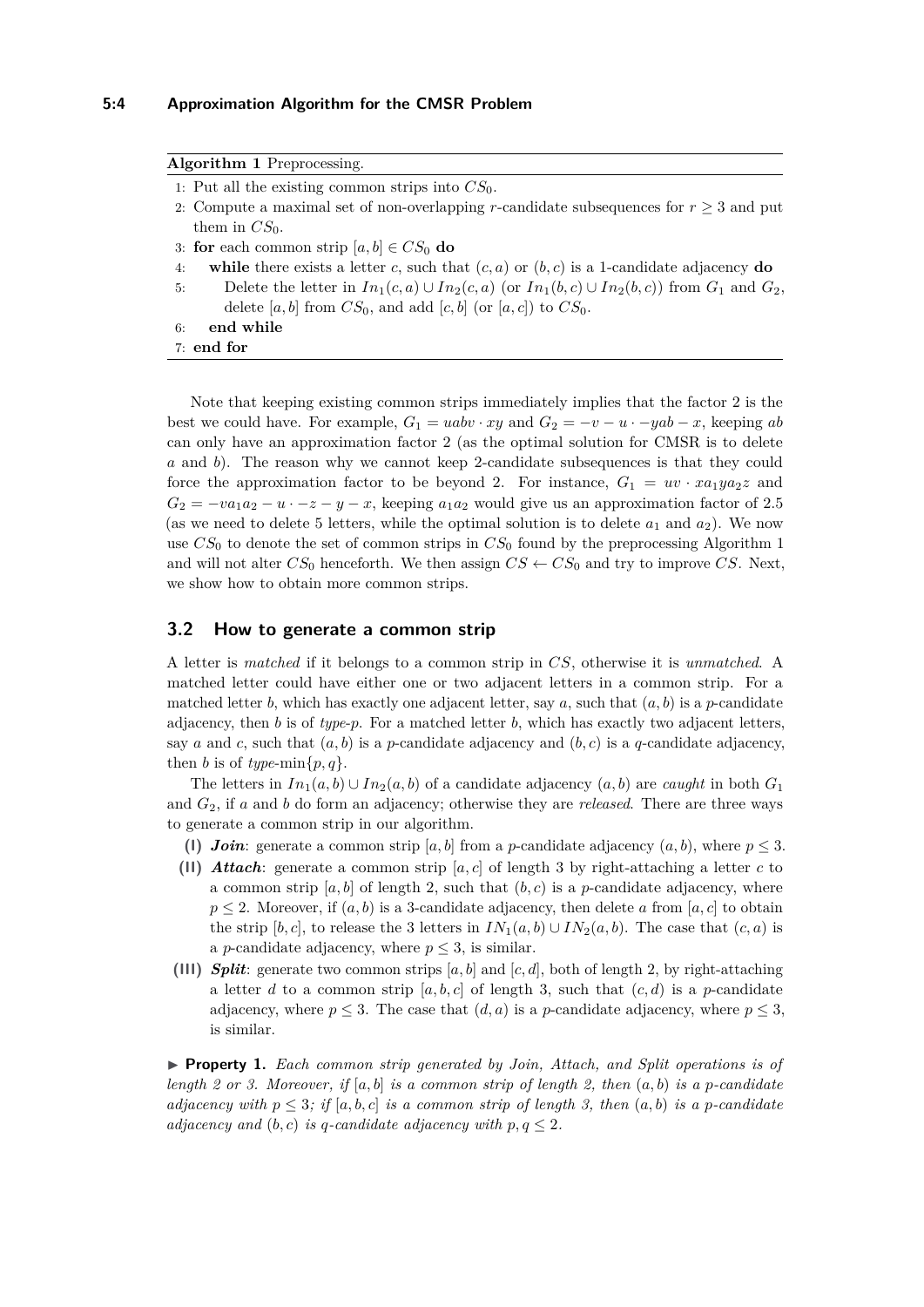#### **5:4 Approximation Algorithm for the CMSR Problem**

<span id="page-3-0"></span>

| <b>Algorithm 1</b> Preprocessing.                                                                                 |
|-------------------------------------------------------------------------------------------------------------------|
| 1: Put all the existing common strips into $CS_0$ .                                                               |
| 2. Compute a maximal set of non-overlapping r-candidate subsequences for $r \geq 3$ and put                       |
| them in $CS_0$ .                                                                                                  |
| 3: for each common strip $[a, b] \in CS_0$ do                                                                     |
| while there exists a letter c, such that $(c, a)$ or $(b, c)$ is a 1-candidate adjacency do<br>4:                 |
| Delete the letter in $In_1(c, a) \cup In_2(c, a)$ (or $In_1(b, c) \cup In_2(b, c)$ ) from $G_1$ and $G_2$ ,<br>5: |
| delete [a, b] from $CS_0$ , and add [c, b] (or [a, c]) to $CS_0$ .                                                |
| end while<br>6:                                                                                                   |
| $7:$ end for                                                                                                      |
|                                                                                                                   |

Note that keeping existing common strips immediately implies that the factor 2 is the best we could have. For example,  $G_1 = uabv \cdot xy$  and  $G_2 = -v - u \cdot -yab - x$ , keeping ab can only have an approximation factor 2 (as the optimal solution for CMSR is to delete *a* and *b*). The reason why we cannot keep 2-candidate subsequences is that they could force the approximation factor to be beyond 2. For instance,  $G_1 = uv \cdot x a_1 y a_2 z$  and  $G_2 = -va_1a_2 - u \cdot -z - y - x$ , keeping  $a_1a_2$  would give us an approximation factor of 2.5 (as we need to delete 5 letters, while the optimal solution is to delete  $a_1$  and  $a_2$ ). We now use  $CS_0$  to denote the set of common strips in  $CS_0$  found by the preprocessing Algorithm 1 and will not alter  $CS_0$  henceforth. We then assign  $CS \leftarrow CS_0$  and try to improve *CS*. Next, we show how to obtain more common strips.

## **3.2 How to generate a common strip**

A letter is *matched* if it belongs to a common strip in *CS*, otherwise it is *unmatched*. A matched letter could have either one or two adjacent letters in a common strip. For a matched letter *b*, which has exactly one adjacent letter, say *a*, such that  $(a, b)$  is a *p*-candidate adjacency, then  $b$  is of  $type-p$ . For a matched letter  $b$ , which has exactly two adjacent letters, say *a* and *c*, such that  $(a, b)$  is a *p*-candidate adjacency and  $(b, c)$  is a *q*-candidate adjacency, then *b* is of *type*-min $\{p, q\}$ .

The letters in  $In_1(a, b) \cup In_2(a, b)$  of a candidate adjacency  $(a, b)$  are *caught* in both  $G_1$ and *G*2, if *a* and *b* do form an adjacency; otherwise they are *released*. There are three ways to generate a common strip in our algorithm.

- (1) *Join*: generate a common strip [a, b] from a *p*-candidate adjacency  $(a, b)$ , where  $p \leq 3$ .
- **(II)** *Attach*: generate a common strip [*a, c*] of length 3 by right-attaching a letter *c* to a common strip  $[a, b]$  of length 2, such that  $(b, c)$  is a *p*-candidate adjacency, where  $p \leq 2$ . Moreover, if  $(a, b)$  is a 3-candidate adjacency, then delete *a* from [*a*, *c*] to obtain the strip  $[b, c]$ , to release the 3 letters in  $IN_1(a, b) \cup IN_2(a, b)$ . The case that  $(c, a)$  is a *p*-candidate adjacency, where  $p \leq 3$ , is similar.
- **(III)** *Split***:** generate two common strips  $[a, b]$  and  $[c, d]$ , both of length 2, by right-attaching a letter *d* to a common strip  $[a, b, c]$  of length 3, such that  $(c, d)$  is a *p*-candidate adjacency, where  $p \leq 3$ . The case that  $(d, a)$  is a *p*-candidate adjacency, where  $p \leq 3$ , is similar.

I **Property 1.** *Each common strip generated by Join, Attach, and Split operations is of length 2 or 3. Moreover, if*  $[a, b]$  *is a common strip of length 2, then*  $(a, b)$  *is a p-candidate adjacency with*  $p \leq 3$ ; if [a, b, c] *is a common strip of length 3, then*  $(a, b)$  *is a p-candidate adjacency and*  $(b, c)$  *is q-candidate adjacency with*  $p, q \leq 2$ *.*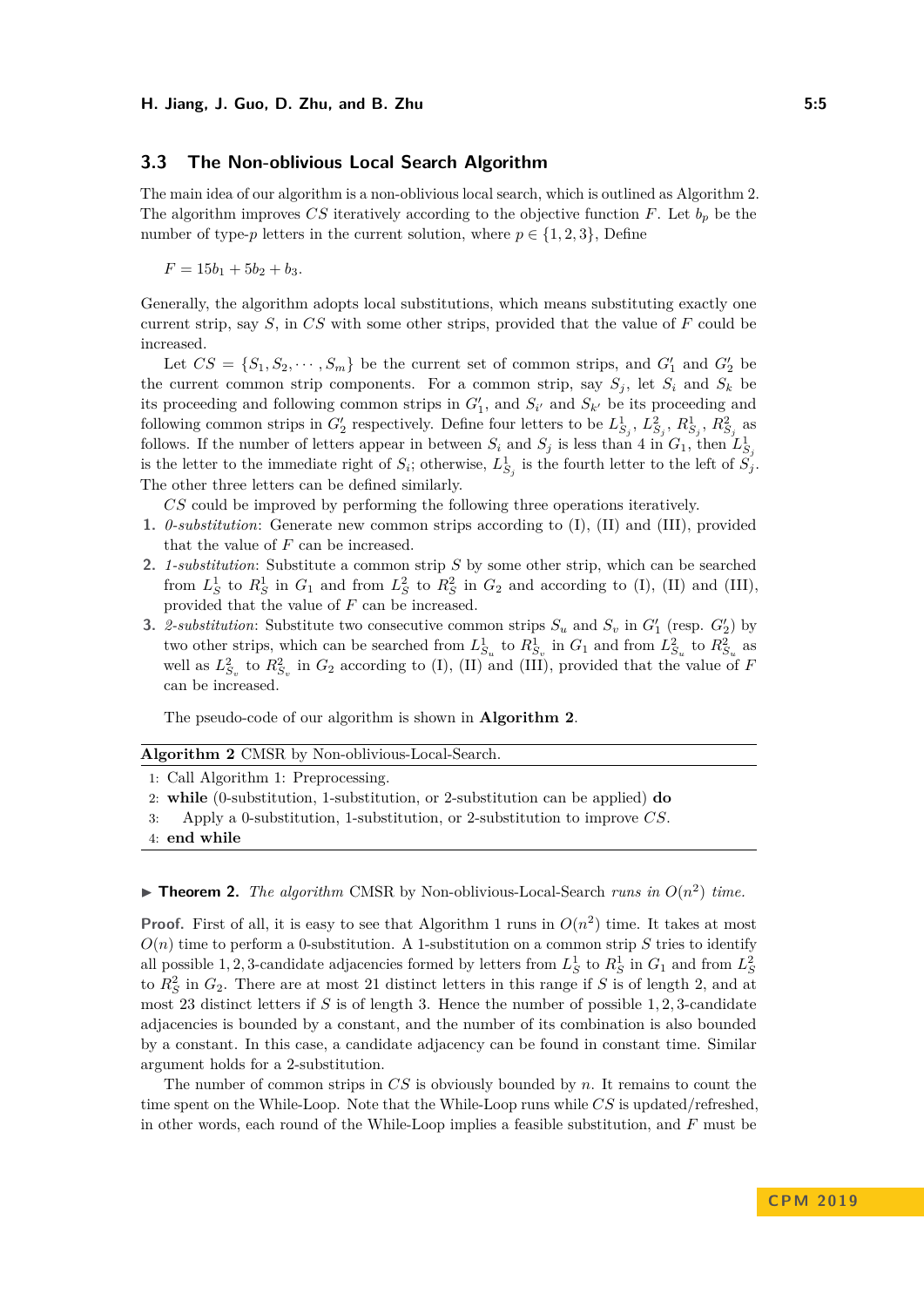## **3.3 The Non-oblivious Local Search Algorithm**

The main idea of our algorithm is a non-oblivious local search, which is outlined as Algorithm [2.](#page-4-0) The algorithm improves *CS* iteratively according to the objective function *F*. Let  $b_p$  be the number of type-*p* letters in the current solution, where  $p \in \{1, 2, 3\}$ , Define

 $F = 15b_1 + 5b_2 + b_3$ .

Generally, the algorithm adopts local substitutions, which means substituting exactly one current strip, say *S*, in *CS* with some other strips, provided that the value of *F* could be increased.

Let  $CS = \{S_1, S_2, \dots, S_m\}$  be the current set of common strips, and  $G'_1$  and  $G'_2$  be the current common strip components. For a common strip, say  $S_j$ , let  $S_i$  and  $S_k$  be its proceeding and following common strips in  $G'_{1}$ , and  $S_{i'}$  and  $S_{k'}$  be its proceeding and following common strips in  $G'_2$  respectively. Define four letters to be  $L^1_{S_j}, L^2_{S_j}, R^1_{S_j}, R^2_{S_j}$  as follows. If the number of letters appear in between  $S_i$  and  $S_j$  is less than 4 in  $G_1$ , then  $L_{S_j}^1$ is the letter to the immediate right of  $S_i$ ; otherwise,  $L_{S_j}^1$  is the fourth letter to the left of  $S_j$ . The other three letters can be defined similarly.

*CS* could be improved by performing the following three operations iteratively.

- **1.** *0-substitution*: Generate new common strips according to (I), (II) and (III), provided that the value of *F* can be increased.
- **2.** *1-substitution*: Substitute a common strip *S* by some other strip, which can be searched from  $L_S^1$  to  $R_S^1$  in  $G_1$  and from  $L_S^2$  to  $R_S^2$  in  $G_2$  and according to (I), (II) and (III), provided that the value of *F* can be increased.
- **3.** *2-substitution*: Substitute two consecutive common strips  $S_u$  and  $S_v$  in  $G'_1$  (resp.  $G'_2$ ) by two other strips, which can be searched from  $L_{S_u}^1$  to  $R_{S_v}^1$  in  $G_1$  and from  $L_{S_u}^2$  to  $R_{S_u}^2$  as well as  $L_{S_v}^2$  to  $R_{S_v}^2$  in  $G_2$  according to (I), (II) and (III), provided that the value of *F* can be increased.

The pseudo-code of our algorithm is shown in **Algorithm [2](#page-4-0)**.

### <span id="page-4-0"></span>**Algorithm 2** CMSR by Non-oblivious-Local-Search.

1: Call Algorithm [1:](#page-3-0) Preprocessing.

2: **while** (0-substitution, 1-substitution, or 2-substitution can be applied) **do**

3: Apply a 0-substitution, 1-substitution, or 2-substitution to improve *CS*.

4: **end while**

# $\blacktriangleright$  **Theorem 2.** *The algorithm* CMSR by Non-oblivious-Local-Search *runs in*  $O(n^2)$  *time.*

**Proof.** First of all, it is easy to see that Algorithm 1 runs in  $O(n^2)$  time. It takes at most  $O(n)$  time to perform a 0-substitution. A 1-substitution on a common strip *S* tries to identify all possible 1, 2, 3-candidate adjacencies formed by letters from  $L_S^1$  to  $R_S^1$  in  $G_1$  and from  $L_S^2$ to  $R_S^2$  in  $G_2$ . There are at most 21 distinct letters in this range if *S* is of length 2, and at most 23 distinct letters if *S* is of length 3. Hence the number of possible 1*,* 2*,* 3-candidate adjacencies is bounded by a constant, and the number of its combination is also bounded by a constant. In this case, a candidate adjacency can be found in constant time. Similar argument holds for a 2-substitution.

The number of common strips in *CS* is obviously bounded by *n*. It remains to count the time spent on the While-Loop. Note that the While-Loop runs while *CS* is updated/refreshed, in other words, each round of the While-Loop implies a feasible substitution, and *F* must be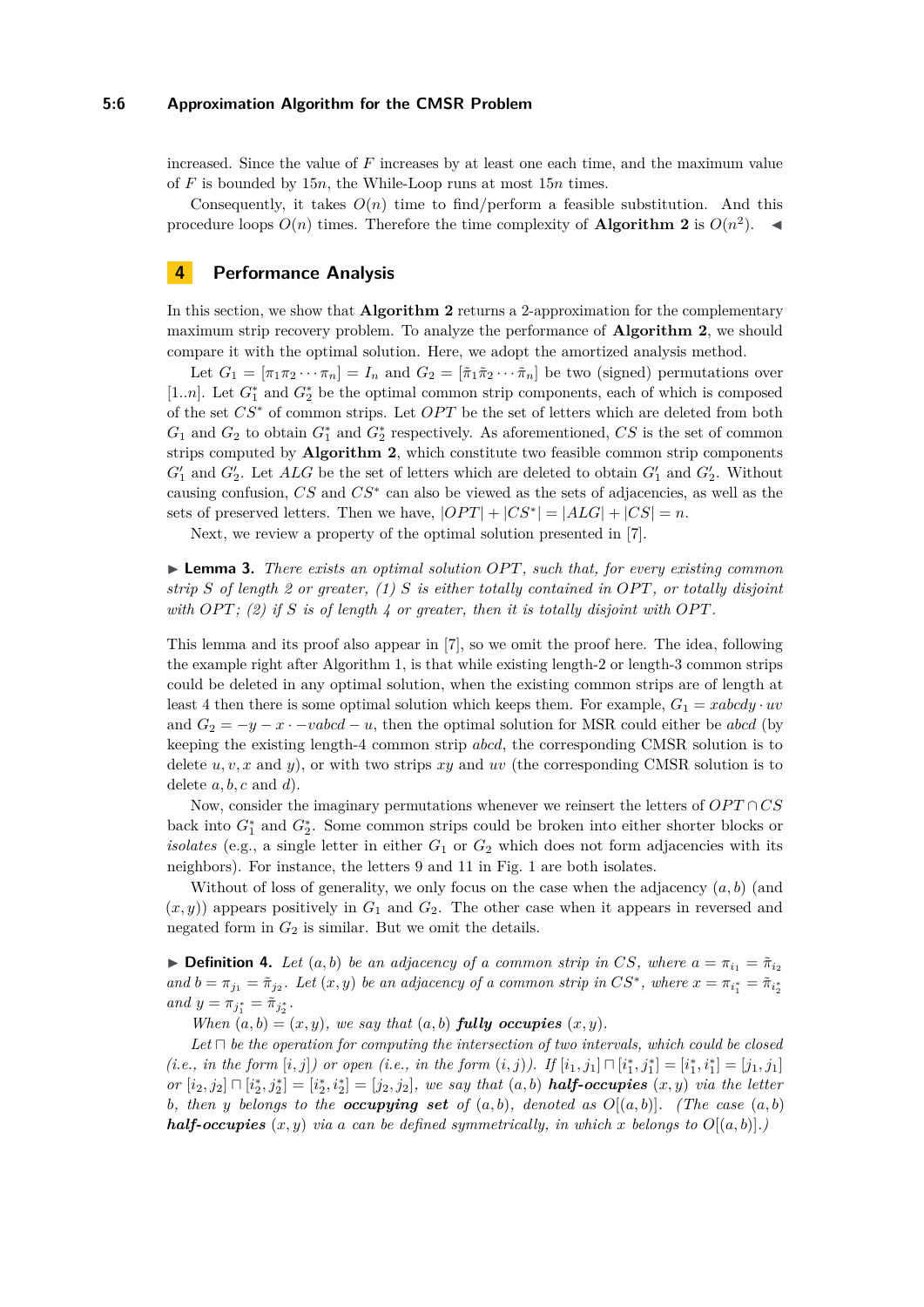#### **5:6 Approximation Algorithm for the CMSR Problem**

increased. Since the value of *F* increases by at least one each time, and the maximum value of *F* is bounded by 15*n*, the While-Loop runs at most 15*n* times.

Consequently, it takes  $O(n)$  time to find/perform a feasible substitution. And this procedure loops  $O(n)$  times. Therefore the time complexity of **Algorithm [2](#page-4-0)** is  $O(n^2)$ .

# **4 Performance Analysis**

In this section, we show that **Algorithm [2](#page-4-0)** returns a 2-approximation for the complementary maximum strip recovery problem. To analyze the performance of **Algorithm [2](#page-4-0)**, we should compare it with the optimal solution. Here, we adopt the amortized analysis method.

Let  $G_1 = [\pi_1 \pi_2 \cdots \pi_n] = I_n$  and  $G_2 = [\tilde{\pi}_1 \tilde{\pi}_2 \cdots \tilde{\pi}_n]$  be two (signed) permutations over [1..*n*]. Let  $G_1^*$  and  $G_2^*$  be the optimal common strip components, each of which is composed of the set  $CS^*$  of common strips. Let *OPT* be the set of letters which are deleted from both  $G_1$  and  $G_2$  to obtain  $G_1^*$  and  $G_2^*$  respectively. As aforementioned,  $CS$  is the set of common strips computed by **Algorithm [2](#page-4-0)**, which constitute two feasible common strip components  $G_1'$  and  $G_2'$ . Let *ALG* be the set of letters which are deleted to obtain  $G_1'$  and  $G_2'$ . Without causing confusion, *CS* and *CS*<sup>∗</sup> can also be viewed as the sets of adjacencies, as well as the sets of preserved letters. Then we have,  $|OPT| + |CS^*| = |ALG| + |CS| = n$ .

Next, we review a property of the optimal solution presented in [\[7\]](#page-12-5).

<span id="page-5-0"></span>▶ **Lemma 3.** *There exists an optimal solution OPT*, *such that, for every existing common strip S of length 2 or greater, (1) S is either totally contained in OP T, or totally disjoint with OPT*; (2) if *S* is of length 4 or greater, then it is totally disjoint with OPT.

This lemma and its proof also appear in [\[7\]](#page-12-5), so we omit the proof here. The idea, following the example right after Algorithm [1,](#page-3-0) is that while existing length-2 or length-3 common strips could be deleted in any optimal solution, when the existing common strips are of length at least 4 then there is some optimal solution which keeps them. For example,  $G_1 = xabcdy \cdot uv$ and  $G_2 = -y - x \cdot -vabcd - u$ , then the optimal solution for MSR could either be *abcd* (by keeping the existing length-4 common strip *abcd*, the corresponding CMSR solution is to delete *u, v, x* and *y*), or with two strips *xy* and *uv* (the corresponding CMSR solution is to delete *a, b, c* and *d*).

Now, consider the imaginary permutations whenever we reinsert the letters of  $OPT \cap CS$ back into  $G_1^*$  and  $G_2^*$ . Some common strips could be broken into either shorter blocks or *isolates* (e.g., a single letter in either  $G_1$  or  $G_2$  which does not form adjacencies with its neighbors). For instance, the letters 9 and 11 in Fig. [1](#page-1-0) are both isolates.

Without of loss of generality, we only focus on the case when the adjacency  $(a, b)$  (and  $(x, y)$ ) appears positively in  $G_1$  and  $G_2$ . The other case when it appears in reversed and negated form in  $G_2$  is similar. But we omit the details.

**Definition 4.** Let  $(a, b)$  be an adjacency of a common strip in CS, where  $a = \pi_{i_1} = \tilde{\pi}_{i_2}$ *and*  $b = \pi_{j_1} = \tilde{\pi}_{j_2}$ . Let  $(x, y)$  be an adjacency of a common strip in  $CS^*$ , where  $x = \pi_{i_1^*} = \tilde{\pi}_{i_2^*}$  $and y = \pi_{j_1^*} = \tilde{\pi}_{j_2^*}.$ 

*When*  $(a, b) = (x, y)$ *, we say that*  $(a, b)$  *fully occupies*  $(x, y)$ *.* 

 $Let \Box$  be the operation for computing the intersection of two intervals, which could be closed *(i.e., in the form*  $[i, j]$ *) or open (i.e., in the form*  $(i, j)$ *). If*  $[i_1, j_1] \sqcap [i_1^*, j_1^*] = [i_1^*, i_1^*] = [j_1, j_1]$  $or [i_2, j_2] \sqcap [i_2^*, j_2^*] = [i_2^*, i_2^*] = [j_2, j_2],$  we say that  $(a, b)$  **half-occupies**  $(x, y)$  *via the letter b*, then *y* belongs to the **occupying set** of  $(a, b)$ , denoted as  $O[(a, b)]$ . (The case  $(a, b)$ ) *half-occupies*  $(x, y)$  *via a can be defined symmetrically, in which x belongs to*  $O[(a, b)]$ *.*)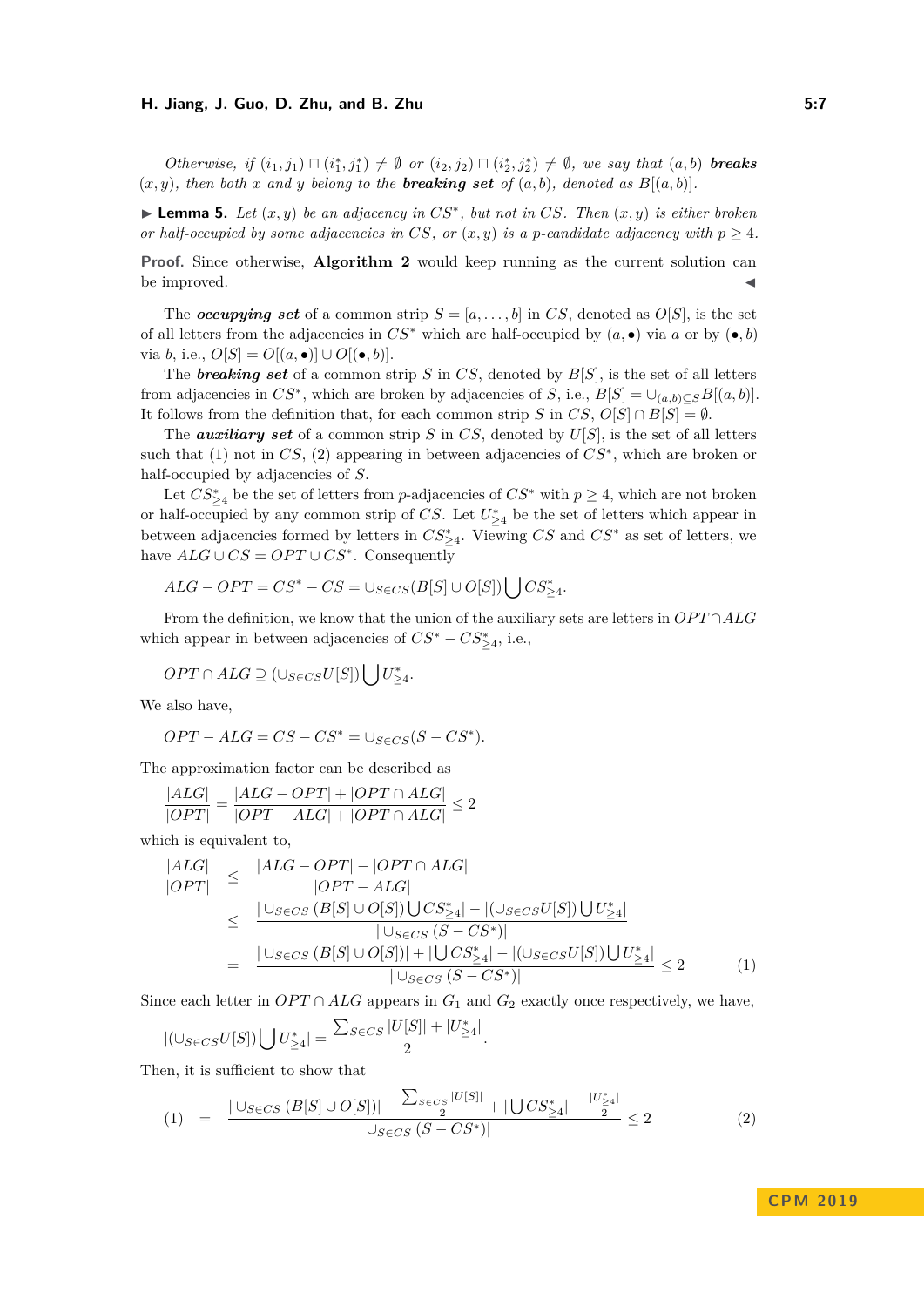#### **H. Jiang, J. Guo, D. Zhu, and B. Zhu 5:7**

*Otherwise, if*  $(i_1, j_1) \sqcap (i_1^*, j_1^*) \neq \emptyset$  *or*  $(i_2, j_2) \sqcap (i_2^*, j_2^*) \neq \emptyset$ *, we say that*  $(a, b)$  *breaks*  $(x, y)$ *, then both*  $x$  *and*  $y$  *belong to the breaking set of*  $(a, b)$ *, denoted as*  $B[(a, b)]$ *.* 

<span id="page-6-0"></span>▶ **Lemma 5.** *Let*  $(x, y)$  *be an adjacency in*  $CS^*$ , *but not in*  $CS$ *. Then*  $(x, y)$  *is either broken or half-occupied by some adjacencies in CS, or*  $(x, y)$  *is a p-candidate adjacency with*  $p \geq 4$ *.* 

**Proof.** Since otherwise, **Algorithm [2](#page-4-0)** would keep running as the current solution can be improved.

The *occupying set* of a common strip  $S = [a, \ldots, b]$  in *CS*, denoted as *O*[*S*], is the set of all letters from the adjacencies in  $CS^*$  which are half-occupied by  $(a, \bullet)$  via  $a$  or by  $(\bullet, b)$ via *b*, i.e.,  $O[S] = O[(a, \bullet)] \cup O[(\bullet, b)]$ .

The *breaking set* of a common strip *S* in *CS*, denoted by *B*[*S*], is the set of all letters from adjacencies in  $CS^*$ , which are broken by adjacencies of *S*, i.e.,  $B[S] = \bigcup_{(a,b)\subseteq S} B[(a,b)]$ . It follows from the definition that, for each common strip *S* in *CS*,  $O[S] \cap B[S] = \emptyset$ .

The *auxiliary set* of a common strip *S* in *CS*, denoted by *U*[*S*], is the set of all letters such that (1) not in *CS*, (2) appearing in between adjacencies of *CS*<sup>∗</sup> , which are broken or half-occupied by adjacencies of *S*.

Let  $CS_{\geq 4}^*$  be the set of letters from *p*-adjacencies of  $CS^*$  with  $p \geq 4$ , which are not broken or half-occupied by any common strip of *CS*. Let  $U_{\geq 4}^*$  be the set of letters which appear in between adjacencies formed by letters in  $CS_{\geq 4}^*$ . Viewing  $CS$  and  $CS^*$  as set of letters, we have  $ALG \cup CS = OPT \cup CS^*$ . Consequently

$$
ALG-OPT = CS^* - CS = \cup_{S \in CS}(B[S] \cup O[S]) \bigcup CS^*_{\geq 4}.
$$

From the definition, we know that the union of the auxiliary sets are letters in *OP T* ∩*ALG* which appear in between adjacencies of  $CS^* - CS^*_{\geq 4}$ , i.e.,

$$
OPT \cap ALG \supseteq (\cup_{S \in CS} U[S]) \bigcup U_{\geq 4}^*.
$$

We also have,

$$
OPT - ALG = CS - CS^* = \cup_{S \in CS} (S - CS^*).
$$

The approximation factor can be described as

$$
\frac{|ALG|}{|OPT|} = \frac{|ALG - OPT| + |OPT \cap ALG|}{|OPT - ALG| + |OPT \cap ALG|} \le 2
$$

which is equivalent to,

$$
\frac{|ALG|}{|OPT|} \leq \frac{|ALG - OPT| - |OPT \cap ALG|}{|OPT - ALG|}
$$
\n
$$
\leq \frac{|\bigcup_{S \in CS} (B[S] \cup O[S]) \bigcup CS_{\geq 4}^*| - |(\bigcup_{S \in CS} U[S]) \bigcup U_{\geq 4}^*|}{|\bigcup_{S \in CS} (S - CS^*)|\|}
$$
\n
$$
= \frac{|\bigcup_{S \in CS} (B[S] \cup O[S])| + |\bigcup CS_{\geq 4}^*| - |(\bigcup_{S \in CS} U[S]) \bigcup U_{\geq 4}^*|}{|\bigcup_{S \in CS} (S - CS^*)|\|} \leq 2
$$
\n(1)

Since each letter in  $OPT \cap ALG$  appears in  $G_1$  and  $G_2$  exactly once respectively, we have,

$$
|(\cup_{S \in CS} U[S]) \bigcup U_{\geq 4}^*| = \frac{\sum_{S \in CS} |U[S]| + |U_{\geq 4}^*|}{2}.
$$

Then, it is sufficient to show that

$$
(1) = \frac{|\cup_{S\in CS} (B[S] \cup O[S])| - \frac{\sum_{S\in CS} |U[S]|}{2} + |\bigcup CS^*_{\geq 4}| - \frac{|U^*_{\geq 4}|}{2}}}{|\cup_{S\in CS} (S - CS^*)|} \leq 2
$$
\n
$$
(2)
$$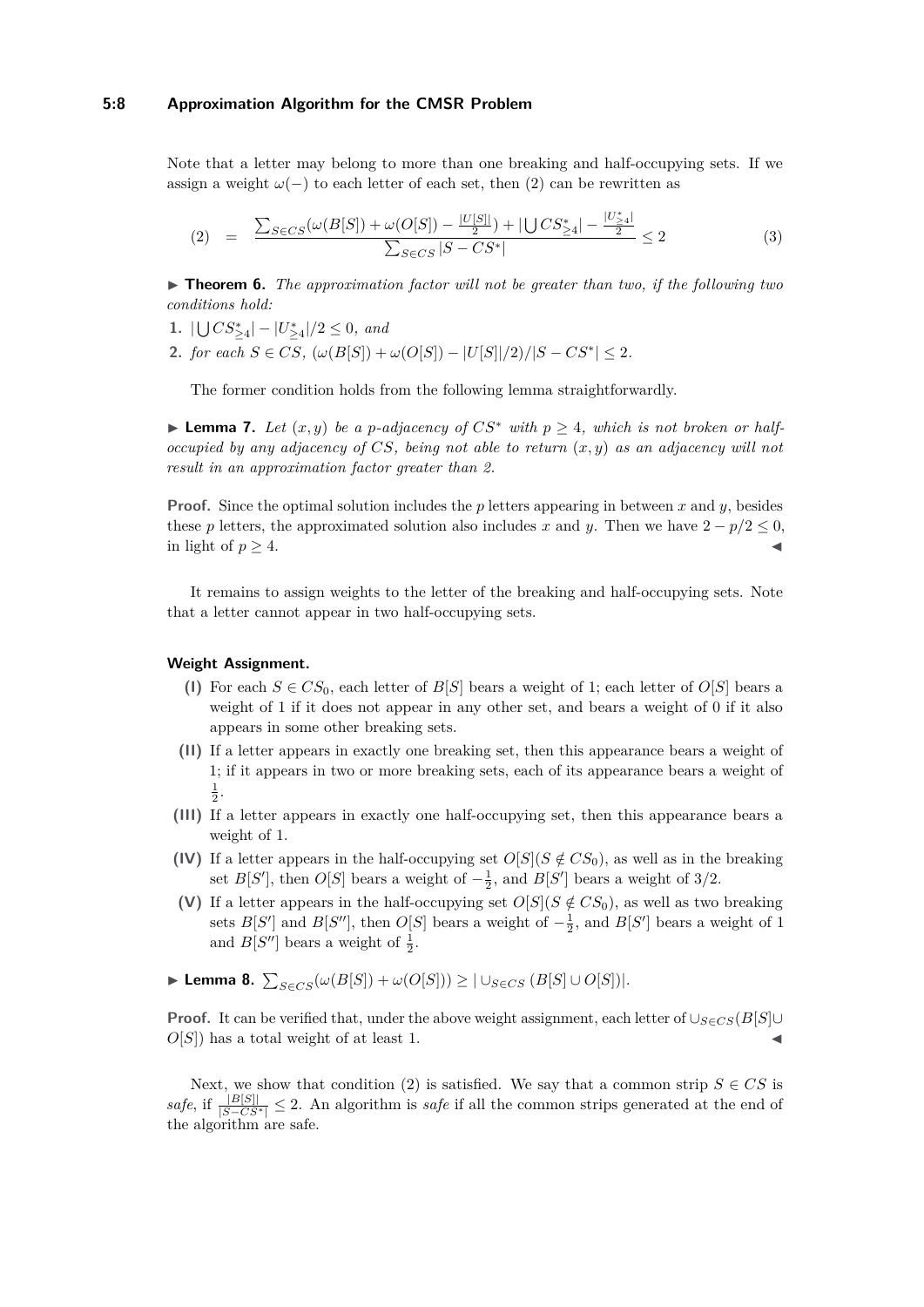#### **5:8 Approximation Algorithm for the CMSR Problem**

Note that a letter may belong to more than one breaking and half-occupying sets. If we assign a weight  $\omega(-)$  to each letter of each set, then (2) can be rewritten as

$$
(2) = \frac{\sum_{S \in CS} (\omega(B[S]) + \omega(O[S]) - \frac{|U[S]|}{2}) + |\bigcup CS_{\geq 4}^*| - \frac{|U_{\geq 4}^*|}{2}}{\sum_{S \in CS} |S - CS^*|} \leq 2
$$
\n(3)

**► Theorem 6.** The approximation factor will not be greater than two, if the following two *conditions hold:*

- 1.  $|\bigcup CS^*_{\geq 4}| |U^*_{\geq 4}|/2 \leq 0$ , and
- **2.** *for each*  $S \in CS$ ,  $(\omega(B[S]) + \omega(O[S]) |U[S]|/2)/|S CS^*| \leq 2$ .

The former condition holds from the following lemma straightforwardly.

▶ **Lemma 7.** *Let*  $(x, y)$  *be a p-adjacency of*  $CS^*$  *with*  $p ≥ 4$ *, which is not broken or halfoccupied by any adjacency of CS, being not able to return* (*x, y*) *as an adjacency will not result in an approximation factor greater than 2.*

**Proof.** Since the optimal solution includes the *p* letters appearing in between *x* and *y*, besides these *p* letters, the approximated solution also includes *x* and *y*. Then we have  $2 - p/2 \le 0$ , in light of  $p > 4$ .

It remains to assign weights to the letter of the breaking and half-occupying sets. Note that a letter cannot appear in two half-occupying sets.

#### <span id="page-7-0"></span>**Weight Assignment.**

- **(I)** For each  $S \in CS_0$ , each letter of  $B[S]$  bears a weight of 1; each letter of  $O[S]$  bears a weight of 1 if it does not appear in any other set, and bears a weight of 0 if it also appears in some other breaking sets.
- **(II)** If a letter appears in exactly one breaking set, then this appearance bears a weight of 1; if it appears in two or more breaking sets, each of its appearance bears a weight of  $\frac{1}{2}$ .
- **(III)** If a letter appears in exactly one half-occupying set, then this appearance bears a weight of 1.
- **(IV)** If a letter appears in the half-occupying set  $O[S](S \notin CS_0)$ , as well as in the breaking set  $B[S']$ , then  $O[S]$  bears a weight of  $-\frac{1}{2}$ , and  $B[S']$  bears a weight of 3/2.
- **(V)** If a letter appears in the half-occupying set  $O[S](S \notin CS_0)$ , as well as two breaking sets  $B[S']$  and  $B[S'']$ , then  $O[S]$  bears a weight of  $-\frac{1}{2}$ , and  $B[S']$  bears a weight of 1 and  $B[S'']$  bears a weight of  $\frac{1}{2}$ .

► Lemma 8.  $\sum_{S \in CS} (\omega(B[S]) + \omega(O[S])) \geq |\cup_{S \in CS} (B[S] \cup O[S])|$ *.* 

**Proof.** It can be verified that, under the above weight assignment, each letter of  $\bigcup_{S\in\mathbb{C}}S(B[S]\cup\mathbb{C})$  $O[S]$ ) has a total weight of at least 1.

Next, we show that condition (2) is satisfied. We say that a common strip  $S \in CS$  is  $safe,$  if  $\frac{|B[S]|}{|S-CS^*|} \leq 2$ . An algorithm is *safe* if all the common strips generated at the end of the algorithm are safe.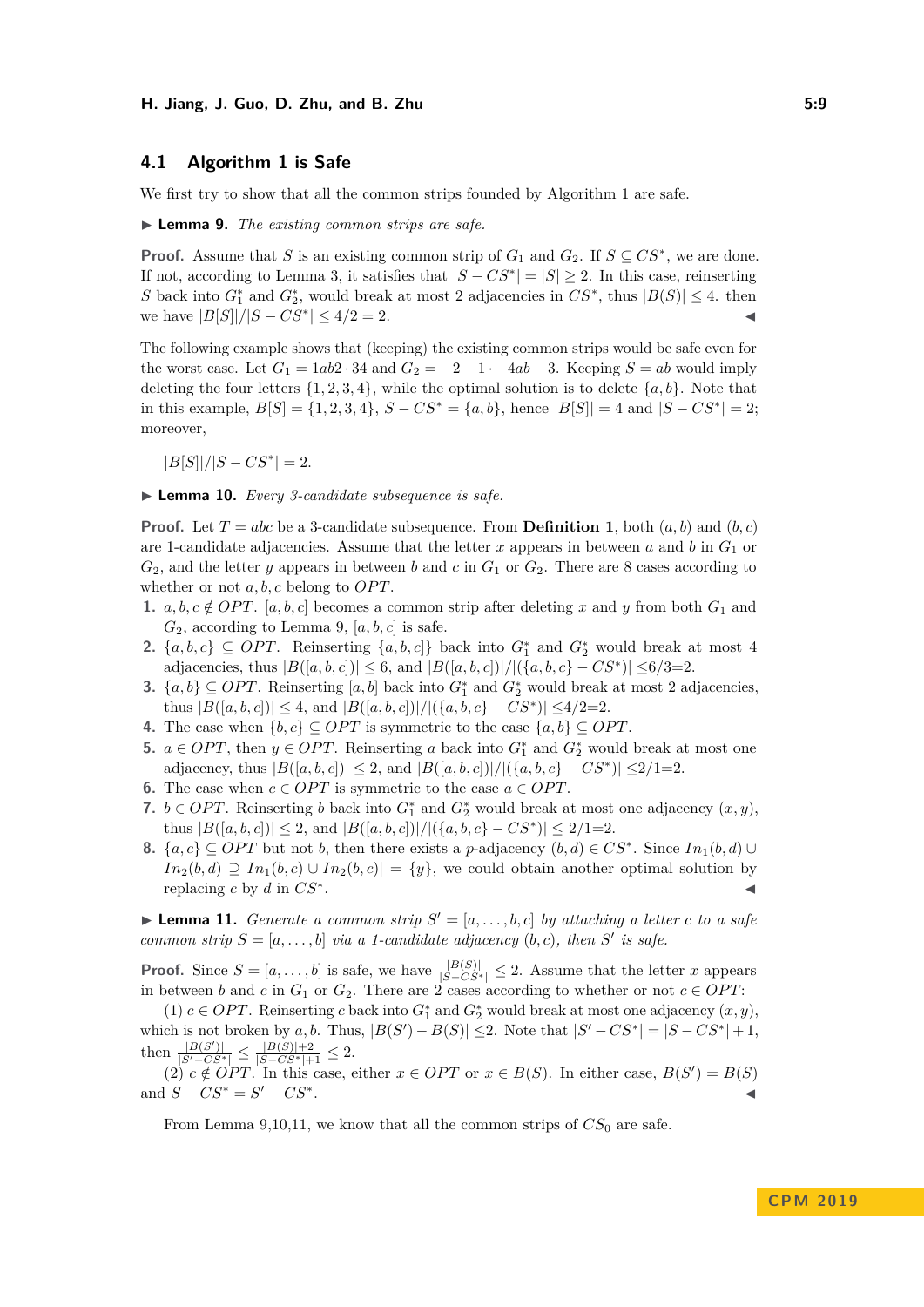## **4.1 Algorithm 1 is Safe**

<span id="page-8-0"></span>We first try to show that all the common strips founded by Algorithm 1 are safe.

▶ **Lemma 9.** *The existing common strips are safe.* 

**Proof.** Assume that *S* is an existing common strip of  $G_1$  and  $G_2$ . If  $S \subseteq CS^*$ , we are done. If not, according to Lemma [3,](#page-5-0) it satisfies that  $|S - CS^*| = |S| \ge 2$ . In this case, reinserting S back into  $G_1^*$  and  $G_2^*$ , would break at most 2 adjacencies in  $CS^*$ , thus  $|B(S)| \leq 4$ . then we have  $|B[S]|/|S - CS^*|$  ≤ 4/2 = 2.

The following example shows that (keeping) the existing common strips would be safe even for the worst case. Let  $G_1 = 1ab2 \cdot 34$  and  $G_2 = -2 - 1 \cdot -4ab - 3$ . Keeping  $S = ab$  would imply deleting the four letters  $\{1, 2, 3, 4\}$ , while the optimal solution is to delete  $\{a, b\}$ . Note that in this example,  $B[S] = \{1, 2, 3, 4\}$ ,  $S - CS^* = \{a, b\}$ , hence  $|B[S]| = 4$  and  $|S - CS^*| = 2$ ; moreover,

 $|B[S]|/|S - CS^*| = 2.$ 

<span id="page-8-1"></span>▶ **Lemma 10.** *Every 3-candidate subsequence is safe.* 

**Proof.** Let  $T = abc$  be a 3-candidate subsequence. From **Definition [1](#page-2-0)**, both  $(a, b)$  and  $(b, c)$ are 1-candidate adjacencies. Assume that the letter  $x$  appears in between  $a$  and  $b$  in  $G_1$  or  $G_2$ , and the letter *y* appears in between *b* and *c* in  $G_1$  or  $G_2$ . There are 8 cases according to whether or not  $a, b, c$  belong to  $OPT$ .

- **1.**  $a, b, c \notin OPT$ . [ $a, b, c$ ] becomes a common strip after deleting x and y from both  $G_1$  and  $G_2$ , according to Lemma [9,](#page-8-0)  $[a, b, c]$  is safe.
- **2.** { $a, b, c$ } ⊆ *OPT*. Reinserting { $a, b, c$ } back into  $G_1^*$  and  $G_2^*$  would break at most 4 adjacencies, thus  $|B([a, b, c])| \leq 6$ , and  $|B([a, b, c])|/|\{(a, b, c\} - CS^*)| \leq 6/3=2$ .
- **3.**  $\{a, b\} \subseteq OPT$ . Reinserting  $[a, b]$  back into  $G_1^*$  and  $G_2^*$  would break at most 2 adjacencies, thus  $|B([a, b, c])| \leq 4$ , and  $|B([a, b, c])|/|\{(a, b, c\} - CS^*)| \leq 4/2=2$ .
- **4.** The case when  $\{b, c\} \subseteq OPT$  is symmetric to the case  $\{a, b\} \subseteq OPT$ .
- **5.**  $a \in OPT$ , then  $y \in OPT$ . Reinserting *a* back into  $G_1^*$  and  $G_2^*$  would break at most one adjacency, thus  $|B([a, b, c])| \leq 2$ , and  $|B([a, b, c])|/|({a, b, c} - CS^*)| \leq 2/1=2$ .
- **6.** The case when  $c \in OPT$  is symmetric to the case  $a \in OPT$ .
- **7.** *b* ∈ *OPT*. Reinserting *b* back into  $G_1^*$  and  $G_2^*$  would break at most one adjacency  $(x, y)$ , thus  $|B([a, b, c])| \leq 2$ , and  $|B([a, b, c])|/|\langle \{a, b, c\} - CS^* \rangle| \leq 2/1=2$ .
- **8.**  ${a, c}$  ⊆ *OPT* but not *b*, then there exists a *p*-adjacency  $(b, d)$  ∈  $CS^*$ . Since  $In_1(b, d)$  ∪  $In_2(b,d) \supseteq In_1(b,c) \cup In_2(b,c)| = \{y\}$ , we could obtain another optimal solution by replacing  $c$  by  $d$  in  $CS^*$ . . John Stein Stein Stein Stein Stein Stein Stein Stein Stein Stein Stein Stein Stein Stein Stein Stein Stein S<br>John Stein Stein Stein Stein Stein Stein Stein Stein Stein Stein Stein Stein Stein Stein Stein Stein Stein Ste

<span id="page-8-2"></span>**Example 11.** *Generate a common strip*  $S' = [a, \ldots, b, c]$  *by attaching a letter c to a safe common strip*  $S = [a, \ldots, b]$  *via a 1-candidate adjacency*  $(b, c)$ *, then S*<sup>*'*</sup> *is safe.* 

**Proof.** Since  $S = [a, \ldots, b]$  is safe, we have  $\frac{|B(S)|}{|S - CS^*|} \leq 2$ . Assume that the letter *x* appears in between *b* and *c* in  $G_1$  or  $G_2$ . There are 2 cases according to whether or not  $c \in OPT$ :

(1)  $c \in OPT$ . Reinserting *c* back into  $G_1^*$  and  $G_2^*$  would break at most one adjacency  $(x, y)$ , which is not broken by *a, b.* Thus,  $|B(S') - B(S)| \le 2$ . Note that  $|S' - CS^*| = |S - CS^*| + 1$ ,  $\frac{|B(S')|}{|S'-CS^*|} \leq \frac{|B(S)|+2}{|S-CS^*|+1} \leq 2.$ 

 $(2)$   $c \notin OPT$ . In this case, either  $x \in OPT$  or  $x \in B(S)$ . In either case,  $B(S') = B(S)$ and  $S - CS^* = S' - CS^*$ . January 1980, the contract of the contract of the contract of the contract of

From Lemma [9](#page-8-0)[,10,](#page-8-1)[11,](#page-8-2) we know that all the common strips of  $CS_0$  are safe.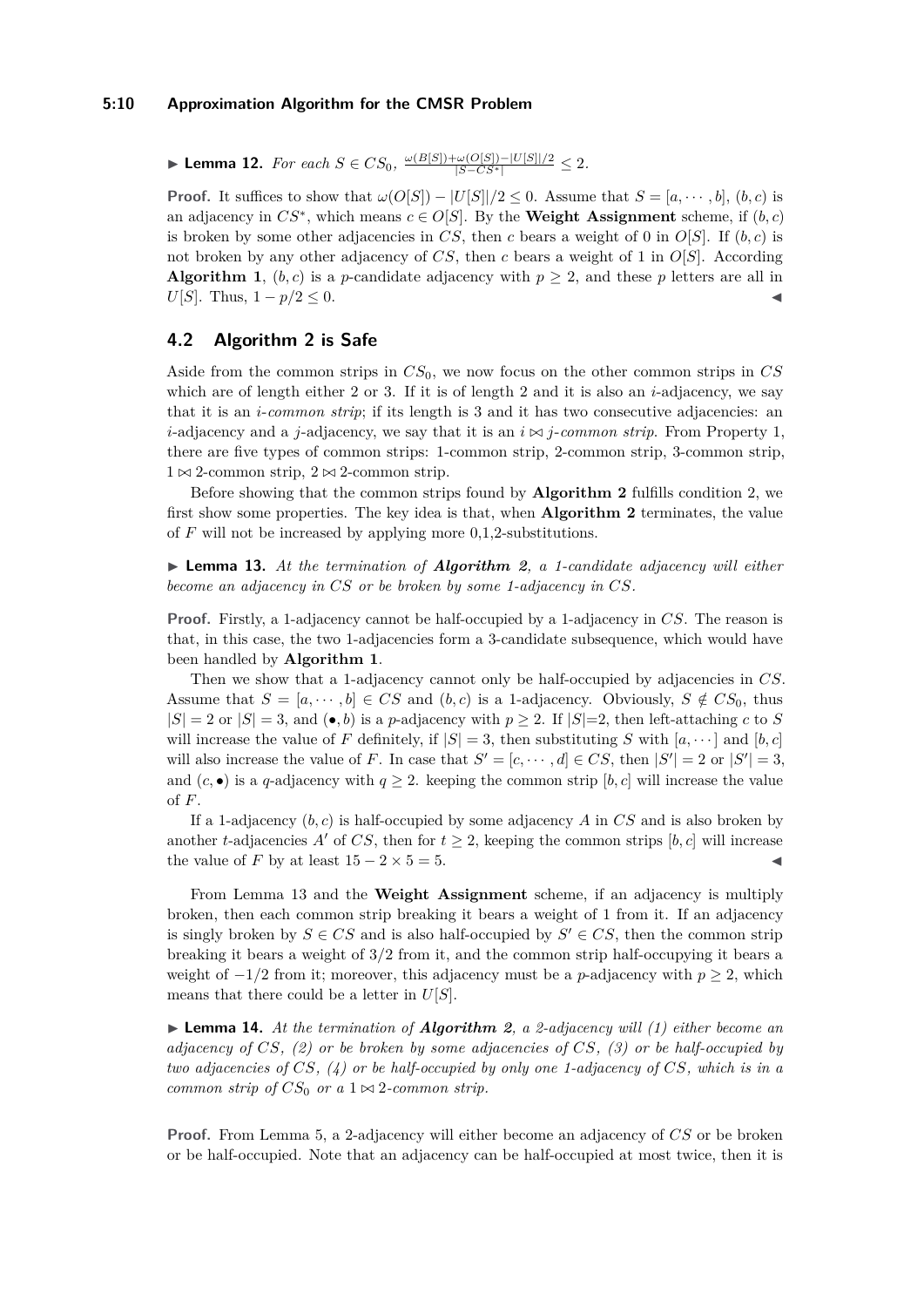**► Lemma 12.** *For each*  $S \in CS_0$ ,  $\frac{\omega(B[S]) + \omega(O[S]) - |U[S]|/2}{|S - CS^*|} \leq 2$ .

**Proof.** It suffices to show that  $\omega(O[S]) - |U[S]|/2 \leq 0$ . Assume that  $S = [a, \dots, b], (b, c)$  is an adjacency in  $CS^*$ , which means  $c \in O[S]$ . By the **[Weight Assignment](#page-7-0)** scheme, if  $(b, c)$ is broken by some other adjacencies in *CS*, then *c* bears a weight of 0 in  $O[S]$ . If  $(b, c)$  is not broken by any other adjacency of *CS*, then *c* bears a weight of 1 in *O*[*S*]. According **Algorithm [1](#page-3-0)**,  $(b, c)$  is a *p*-candidate adjacency with  $p \geq 2$ , and these *p* letters are all in *U*[*S*]. Thus,  $1 - p/2 ≤ 0$ .

# **4.2 Algorithm 2 is Safe**

Aside from the common strips in *CS*0, we now focus on the other common strips in *CS* which are of length either 2 or 3. If it is of length 2 and it is also an *i*-adjacency, we say that it is an *i*-*common strip*; if its length is 3 and it has two consecutive adjacencies: an *i*-adjacency and a *j*-adjacency, we say that it is an  $i \bowtie j$ -*common strip*. From Property 1, there are five types of common strips: 1-common strip, 2-common strip, 3-common strip,  $1 \bowtie 2$ -common strip,  $2 \bowtie 2$ -common strip.

Before showing that the common strips found by **Algorithm [2](#page-4-0)** fulfills condition 2, we first show some properties. The key idea is that, when **Algorithm [2](#page-4-0)** terminates, the value of  $F$  will not be increased by applying more  $0,1,2$ -substitutions.

<span id="page-9-0"></span>I **Lemma 13.** *At the termination of Algorithm [2](#page-4-0), a 1-candidate adjacency will either become an adjacency in CS or be broken by some 1-adjacency in CS.*

**Proof.** Firstly, a 1-adjacency cannot be half-occupied by a 1-adjacency in *CS*. The reason is that, in this case, the two 1-adjacencies form a 3-candidate subsequence, which would have been handled by **Algorithm [1](#page-3-0)**.

Then we show that a 1-adjacency cannot only be half-occupied by adjacencies in *CS*. Assume that  $S = [a, \dots, b] \in CS$  and  $(b, c)$  is a 1-adjacency. Obviously,  $S \notin CS_0$ , thus  $|S| = 2$  or  $|S| = 3$ , and  $(\bullet, b)$  is a *p*-adjacency with  $p \geq 2$ . If  $|S|=2$ , then left-attaching *c* to *S* will increase the value of *F* definitely, if  $|S| = 3$ , then substituting *S* with  $[a, \dots]$  and  $[b, c]$ will also increase the value of *F*. In case that  $S' = [c, \dots, d] \in CS$ , then  $|S'| = 2$  or  $|S'| = 3$ , and  $(c, \bullet)$  is a *q*-adjacency with  $q \geq 2$ . keeping the common strip  $[b, c]$  will increase the value of *F*.

If a 1-adjacency (*b, c*) is half-occupied by some adjacency *A* in *CS* and is also broken by another *t*-adjacencies *A'* of *CS*, then for  $t \geq 2$ , keeping the common strips [*b, c*] will increase the value of *F* by at least  $15 - 2 \times 5 = 5$ .

From Lemma [13](#page-9-0) and the **[Weight Assignment](#page-7-0)** scheme, if an adjacency is multiply broken, then each common strip breaking it bears a weight of 1 from it. If an adjacency is singly broken by  $S \in CS$  and is also half-occupied by  $S' \in CS$ , then the common strip breaking it bears a weight of 3/2 from it, and the common strip half-occupying it bears a weight of  $-1/2$  from it; moreover, this adjacency must be a *p*-adjacency with  $p \geq 2$ , which means that there could be a letter in *U*[*S*].

I **Lemma 14.** *At the termination of Algorithm [2](#page-4-0), a 2-adjacency will (1) either become an adjacency of CS, (2) or be broken by some adjacencies of CS, (3) or be half-occupied by two adjacencies of CS, (4) or be half-occupied by only one 1-adjacency of CS, which is in a common strip of*  $CS_0$  *or a*  $1 \bowtie 2$ *-common strip.* 

**Proof.** From Lemma [5,](#page-6-0) a 2-adjacency will either become an adjacency of *CS* or be broken or be half-occupied. Note that an adjacency can be half-occupied at most twice, then it is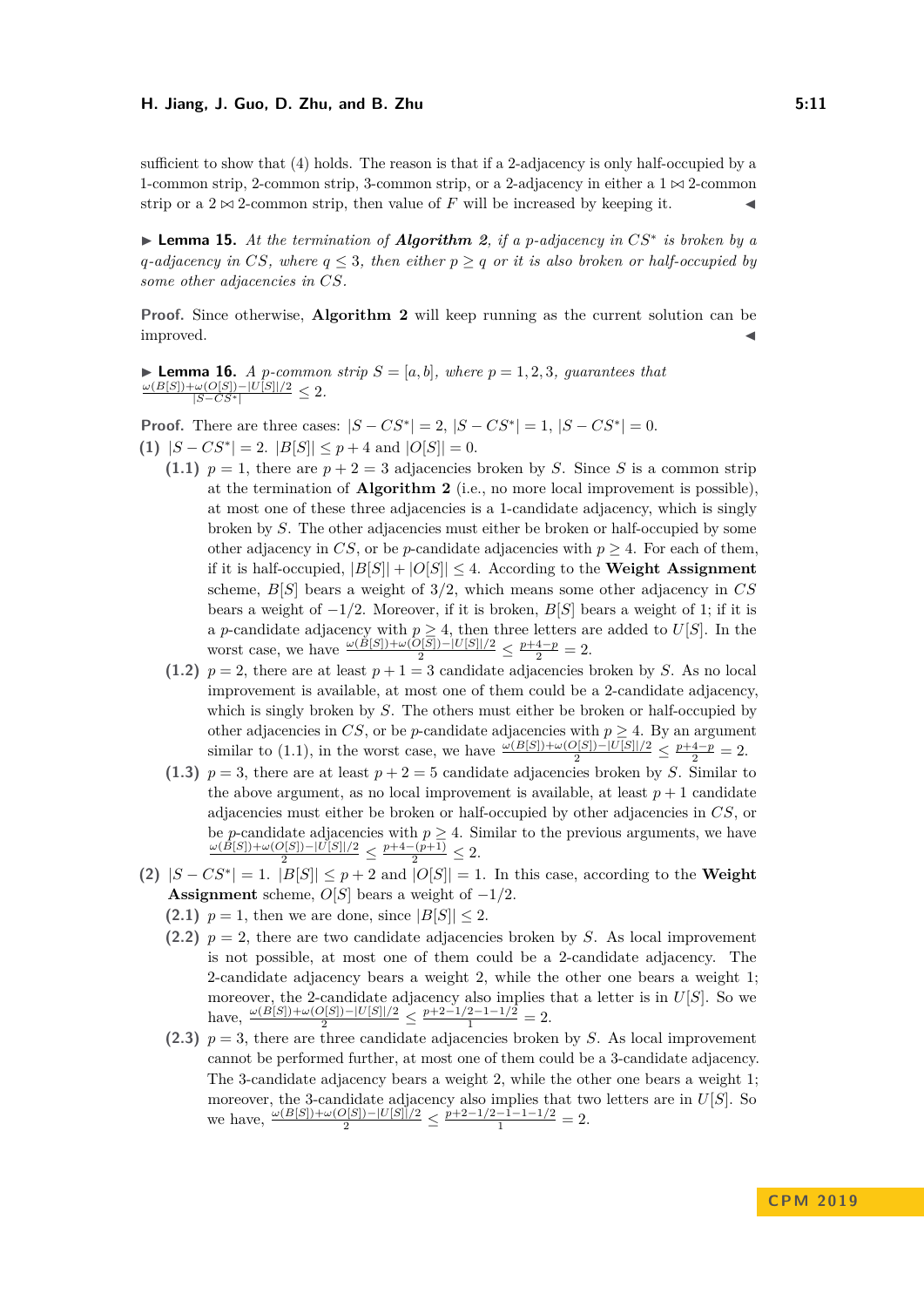sufficient to show that (4) holds. The reason is that if a 2-adjacency is only half-occupied by a 1-common strip, 2-common strip, 3-common strip, or a 2-adjacency in either a  $1 \bowtie 2$ -common strip or a  $2 \bowtie 2$ -common strip, then value of *F* will be increased by keeping it.

I **Lemma 15.** *At the termination of Algorithm [2](#page-4-0), if a p-adjacency in CS*<sup>∗</sup> *is broken by a q*-adjacency in CS, where  $q \leq 3$ , then either  $p \geq q$  or it is also broken or half-occupied by *some other adjacencies in CS.*

**Proof.** Since otherwise, **Algorithm [2](#page-4-0)** will keep running as the current solution can be improved.

► Lemma 16. A p-common strip  $S = [a, b]$ , where  $p = 1, 2, 3$ , guarantees that  $\frac{\omega(B[S]) + \omega(O[S]) - |U[S]|/2}{|S - CS^*|} \leq 2$ .

**Proof.** There are three cases:  $|S - CS^*| = 2$ ,  $|S - CS^*| = 1$ ,  $|S - CS^*| = 0$ .

**(1)**  $|S - CS^*| = 2$ .  $|B[S]| ≤ p + 4$  and  $|O[S]| = 0$ .

- **(1.1)**  $p = 1$ , there are  $p + 2 = 3$  adjacencies broken by *S*. Since *S* is a common strip at the termination of **Algorithm [2](#page-4-0)** (i.e., no more local improvement is possible), at most one of these three adjacencies is a 1-candidate adjacency, which is singly broken by *S*. The other adjacencies must either be broken or half-occupied by some other adjacency in *CS*, or be *p*-candidate adjacencies with  $p \geq 4$ . For each of them, if it is half-occupied,  $|B[S]| + |O[S]| \leq 4$ . According to the **[Weight Assignment](#page-7-0)** scheme, *B*[*S*] bears a weight of 3/2, which means some other adjacency in *CS* bears a weight of −1*/*2. Moreover, if it is broken, *B*[*S*] bears a weight of 1; if it is a *p*-candidate adjacency with  $p \geq 4$ , then three letters are added to  $U[S]$ . In the worst case, we have  $\frac{\omega(B[S]) + \omega(O[S]) - |U[S]|/2}{2} \le \frac{p+4-p}{2} = 2.$
- (1.2)  $p = 2$ , there are at least  $p + 1 = 3$  candidate adjacencies broken by *S*. As no local improvement is available, at most one of them could be a 2-candidate adjacency, which is singly broken by *S*. The others must either be broken or half-occupied by other adjacencies in  $CS$ , or be *p*-candidate adjacencies with  $p \geq 4$ . By an argument similar to (1.1), in the worst case, we have  $\frac{\omega(B[S]) + \omega(O[S]) - |U[S]|/2}{2} \le \frac{p+4-p}{2} = 2$ .
- (1.3)  $p = 3$ , there are at least  $p + 2 = 5$  candidate adjacencies broken by *S*. Similar to the above argument, as no local improvement is available, at least  $p + 1$  candidate adjacencies must either be broken or half-occupied by other adjacencies in *CS*, or be *p*-candidate adjacencies with  $p \geq 4$ . Similar to the previous arguments, we have  $\frac{\omega(B[S]) + \omega(O[S]) - |U[S]|/2}{2} \leq \frac{p+4-(p+1)}{2} \leq 2.$
- **(2)** |*S* − *CS*<sup>∗</sup> | = 1. |*B*[*S*]| ≤ *p* + 2 and |*O*[*S*]| = 1. In this case, according to the **[Weight](#page-7-0) [Assignment](#page-7-0)** scheme,  $O[S]$  bears a weight of  $-1/2$ .
	- **(2.1)**  $p = 1$ , then we are done, since  $|B[S]| \leq 2$ .
	- **(2.2)**  $p = 2$ , there are two candidate adjacencies broken by *S*. As local improvement is not possible, at most one of them could be a 2-candidate adjacency. The 2-candidate adjacency bears a weight 2, while the other one bears a weight 1; moreover, the 2-candidate adjacency also implies that a letter is in *U*[*S*]. So we have,  $\frac{\omega(B[S]) + \omega(O[S]) - |U[S]|/2}{2} \le \frac{p+2-1/2-1-1/2}{1} = 2.$
	- (2.3)  $p = 3$ , there are three candidate adjacencies broken by *S*. As local improvement cannot be performed further, at most one of them could be a 3-candidate adjacency. The 3-candidate adjacency bears a weight 2, while the other one bears a weight 1; moreover, the 3-candidate adjacency also implies that two letters are in *U*[*S*]. So we have,  $\frac{\omega(B[S]) + \omega(O[S]) - |U[S]|/2}{2} \le \frac{p+2-1/2-1-1-1/2}{1} = 2.$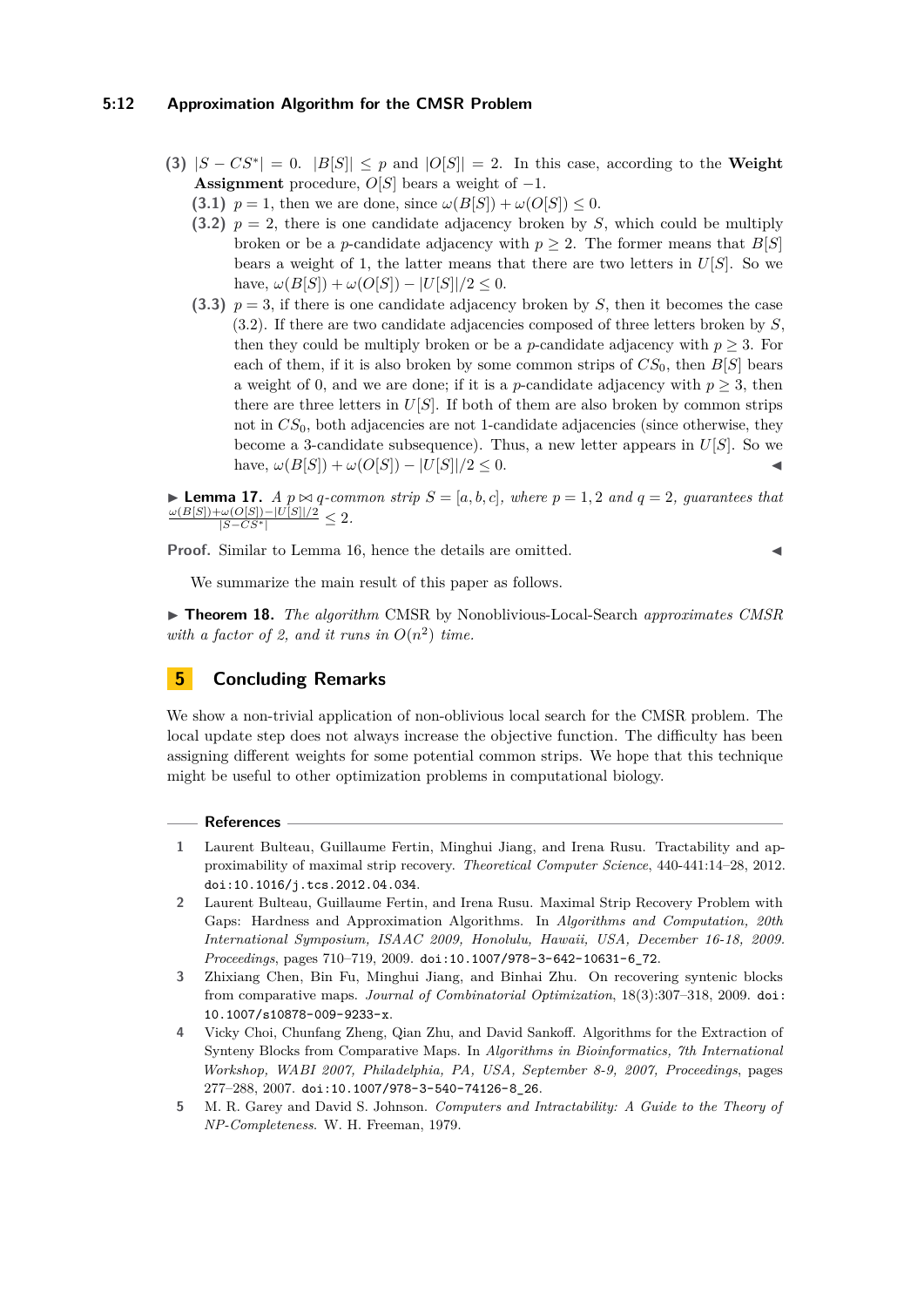### **5:12 Approximation Algorithm for the CMSR Problem**

- **(3)**  $|S CS^*| = 0$ .  $|B[S]| \leq p$  and  $|O[S]| = 2$ . In this case, according to the **[Weight](#page-7-0) [Assignment](#page-7-0)** procedure,  $O[S]$  bears a weight of  $-1$ .
	- **(3.1)**  $p = 1$ , then we are done, since  $\omega(B[S]) + \omega(O[S]) \leq 0$ .
	- **(3.2)**  $p = 2$ , there is one candidate adjacency broken by *S*, which could be multiply broken or be a *p*-candidate adjacency with  $p \geq 2$ . The former means that  $B[S]$ bears a weight of 1, the latter means that there are two letters in  $U[S]$ . So we have,  $\omega(B[S]) + \omega(O[S]) - |U[S]|/2 \leq 0$ .
	- **(3.3)**  $p = 3$ , if there is one candidate adjacency broken by *S*, then it becomes the case (3.2). If there are two candidate adjacencies composed of three letters broken by *S*, then they could be multiply broken or be a *p*-candidate adjacency with  $p \geq 3$ . For each of them, if it is also broken by some common strips of  $CS_0$ , then  $B[S]$  bears a weight of 0, and we are done; if it is a *p*-candidate adjacency with  $p \geq 3$ , then there are three letters in *U*[*S*]. If both of them are also broken by common strips not in  $CS_0$ , both adjacencies are not 1-candidate adjacencies (since otherwise, they become a 3-candidate subsequence). Thus, a new letter appears in  $U[S]$ . So we  $h$ ave,  $\omega(B[S]) + \omega(O[S]) - |U[S]|/2 \leq 0.$

**Lemma 17.** *A*  $p \bowtie q$ -common strip  $S = [a, b, c]$ , where  $p = 1, 2$  and  $q = 2$ , guarantees that  $\frac{\omega(B[S]) + \omega(O[S]) - |U[S]|/2}{|S - CS^*|} \leq 2.$ 

Proof. Similar to Lemma 16, hence the details are omitted.

$$
\blacktriangleleft
$$

We summarize the main result of this paper as follows.

I **Theorem 18.** *The algorithm* CMSR by Nonoblivious-Local-Search *approximates CMSR* with a factor of 2, and it runs in  $O(n^2)$  time.

# **5 Concluding Remarks**

We show a non-trivial application of non-oblivious local search for the CMSR problem. The local update step does not always increase the objective function. The difficulty has been assigning different weights for some potential common strips. We hope that this technique might be useful to other optimization problems in computational biology.

#### **References**

- <span id="page-11-4"></span>**1** Laurent Bulteau, Guillaume Fertin, Minghui Jiang, and Irena Rusu. Tractability and approximability of maximal strip recovery. *Theoretical Computer Science*, 440-441:14–28, 2012. [doi:10.1016/j.tcs.2012.04.034](http://dx.doi.org/10.1016/j.tcs.2012.04.034).
- <span id="page-11-2"></span>**2** Laurent Bulteau, Guillaume Fertin, and Irena Rusu. Maximal Strip Recovery Problem with Gaps: Hardness and Approximation Algorithms. In *Algorithms and Computation, 20th International Symposium, ISAAC 2009, Honolulu, Hawaii, USA, December 16-18, 2009. Proceedings*, pages 710–719, 2009. [doi:10.1007/978-3-642-10631-6\\_72](http://dx.doi.org/10.1007/978-3-642-10631-6_72).
- <span id="page-11-3"></span>**3** Zhixiang Chen, Bin Fu, Minghui Jiang, and Binhai Zhu. On recovering syntenic blocks from comparative maps. *Journal of Combinatorial Optimization*, 18(3):307–318, 2009. [doi:](http://dx.doi.org/10.1007/s10878-009-9233-x) [10.1007/s10878-009-9233-x](http://dx.doi.org/10.1007/s10878-009-9233-x).
- <span id="page-11-0"></span>**4** Vicky Choi, Chunfang Zheng, Qian Zhu, and David Sankoff. Algorithms for the Extraction of Synteny Blocks from Comparative Maps. In *Algorithms in Bioinformatics, 7th International Workshop, WABI 2007, Philadelphia, PA, USA, September 8-9, 2007, Proceedings*, pages 277–288, 2007. [doi:10.1007/978-3-540-74126-8\\_26](http://dx.doi.org/10.1007/978-3-540-74126-8_26).
- <span id="page-11-1"></span>**5** M. R. Garey and David S. Johnson. *Computers and Intractability: A Guide to the Theory of NP-Completeness*. W. H. Freeman, 1979.